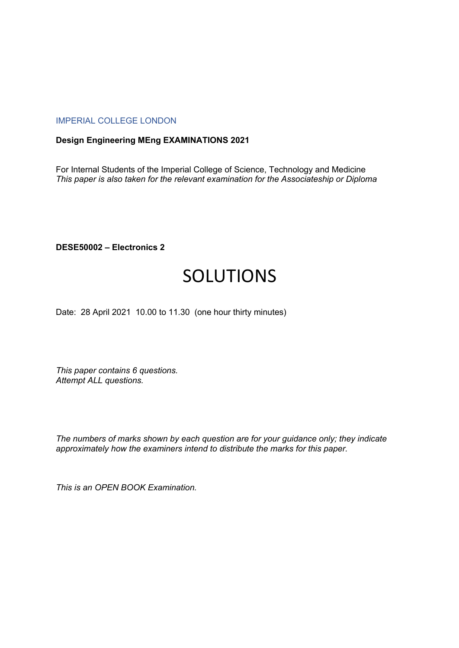## IMPERIAL COLLEGE LONDON

## **Design Engineering MEng EXAMINATIONS 2021**

For Internal Students of the Imperial College of Science, Technology and Medicine *This paper is also taken for the relevant examination for the Associateship or Diploma*

**DESE50002 – Electronics 2**

## SOLUTIONS

Date: 28 April 2021 10.00 to 11.30 (one hour thirty minutes)

*This paper contains 6 questions. Attempt ALL questions.* 

*The numbers of marks shown by each question are for your guidance only; they indicate approximately how the examiners intend to distribute the marks for this paper.*

*This is an OPEN BOOK Examination.*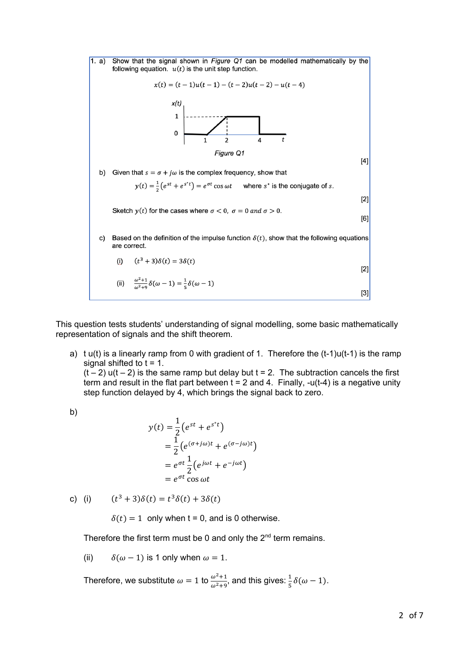

This question tests students' understanding of signal modelling, some basic mathematically representation of signals and the shift theorem.

a) t  $u(t)$  is a linearly ramp from 0 with gradient of 1. Therefore the  $(t-1)u(t-1)$  is the ramp signal shifted to  $t = 1$ .

 $(t - 2)$  u(t – 2) is the same ramp but delay but t = 2. The subtraction cancels the first term and result in the flat part between  $t = 2$  and 4. Finally, -u(t-4) is a negative unity step function delayed by 4, which brings the signal back to zero.

b)

$$
y(t) = \frac{1}{2} (e^{st} + e^{st})
$$
  
=  $\frac{1}{2} (e^{(\sigma+j\omega)t} + e^{(\sigma-j\omega)t})$   
=  $e^{\sigma t} \frac{1}{2} (e^{j\omega t} + e^{-j\omega t})$   
=  $e^{\sigma t} \cos \omega t$ 

c) (i)  $(t^3 + 3)\delta(t) = t^3\delta(t) + 3\delta(t)$ 

 $\delta(t) = 1$  only when t = 0, and is 0 otherwise.

Therefore the first term must be 0 and only the  $2<sup>nd</sup>$  term remains.

(ii)  $\delta(\omega - 1)$  is 1 only when  $\omega = 1$ .

Therefore, we substitute  $\omega = 1$  to  $\frac{\omega^2 + 1}{\omega^2 + 9}$ , and this gives:  $\frac{1}{5}\delta(\omega - 1)$ .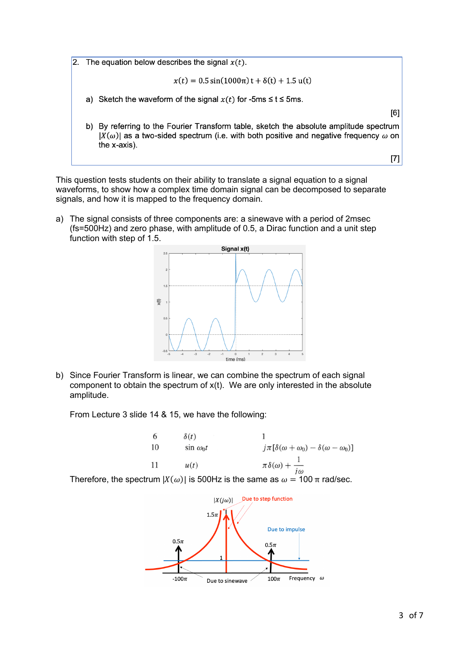2. The equation below describes the signal  $x(t)$ .

$$
x(t) = 0.5\sin(1000\pi) t + \delta(t) + 1.5\,\mathrm{u}(t)
$$

a) Sketch the waveform of the signal  $x(t)$  for -5ms  $\le t \le 5$ ms.

b) By referring to the Fourier Transform table, sketch the absolute amplitude spectrum  $|X(\omega)|$  as a two-sided spectrum (i.e. with both positive and negative frequency  $\omega$  on the x-axis).

 $[7]$ 

 $[6]$ 

This question tests students on their ability to translate a signal equation to a signal waveforms, to show how a complex time domain signal can be decomposed to separate signals, and how it is mapped to the frequency domain.

a) The signal consists of three components are: a sinewave with a period of 2msec (fs=500Hz) and zero phase, with amplitude of 0.5, a Dirac function and a unit step function with step of 1.5.



b) Since Fourier Transform is linear, we can combine the spectrum of each signal component to obtain the spectrum of  $x(t)$ . We are only interested in the absolute amplitude.

From Lecture 3 slide 14 & 15, we have the following:



Therefore, the spectrum  $|X(\omega)|$  is 500Hz is the same as  $\omega = 100 \pi$  rad/sec.

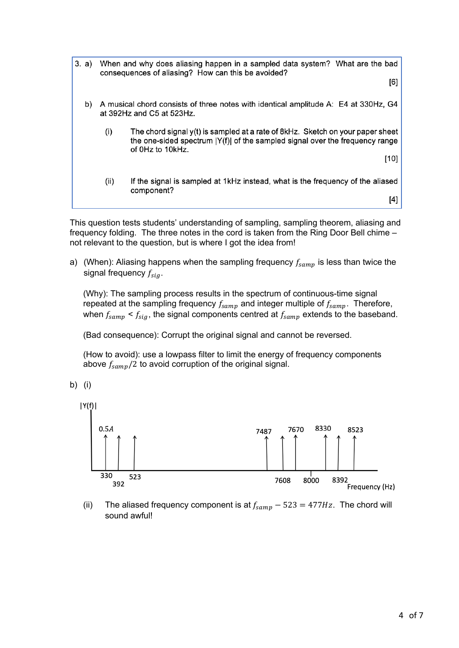3. a) When and why does aliasing happen in a sampled data system? What are the bad consequences of aliasing? How can this be avoided?

 $[6]$ 

- A musical chord consists of three notes with identical amplitude A: E4 at 330Hz, G4 b) at 392Hz and C5 at 523Hz.
	- The chord signal y(t) is sampled at a rate of 8kHz. Sketch on your paper sheet  $(i)$ the one-sided spectrum |Y(f)| of the sampled signal over the frequency range of 0Hz to 10kHz.

 $[10]$ 

 $(ii)$ If the signal is sampled at 1kHz instead, what is the frequency of the aliased component?

 $[4]$ 

This question tests students' understanding of sampling, sampling theorem, aliasing and frequency folding. The three notes in the cord is taken from the Ring Door Bell chime – not relevant to the question, but is where I got the idea from!

a) (When): Aliasing happens when the sampling frequency  $f_{\text{samp}}$  is less than twice the signal frequency  $f_{sia}$ .

(Why): The sampling process results in the spectrum of continuous-time signal repeated at the sampling frequency  $f_{samp}$  and integer multiple of  $f_{samp}$ . Therefore, when  $f_{samp} < f_{sig}$ , the signal components centred at  $f_{samp}$  extends to the baseband.

(Bad consequence): Corrupt the original signal and cannot be reversed.

(How to avoid): use a lowpass filter to limit the energy of frequency components above  $f_{samp}/2$  to avoid corruption of the original signal.

b) (i)



(ii) The aliased frequency component is at  $f_{\text{samp}} - 523 = 477 \text{ Hz}$ . The chord will sound awful!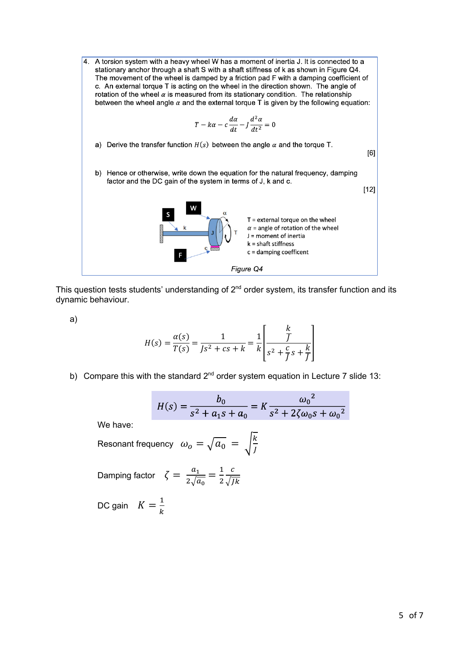

This question tests students' understanding of  $2<sup>nd</sup>$  order system, its transfer function and its dynamic behaviour.

a)

$$
H(s) = \frac{\alpha(s)}{T(s)} = \frac{1}{Js^2 + cs + k} = \frac{1}{k} \left[ \frac{\frac{k}{J}}{s^2 + \frac{c}{J}s + \frac{k}{J}} \right]
$$

b) Compare this with the standard  $2^{nd}$  order system equation in Lecture 7 slide 13:

$$
H(s) = \frac{b_0}{s^2 + a_1 s + a_0} = K \frac{{\omega_0}^2}{s^2 + 2\zeta \omega_0 s + {\omega_0}^2}
$$

We have:

Resonant frequency  $\omega_o = \sqrt{a_0} = \sqrt{\frac{k}{J}}$ 

Damping factor  $\zeta = \frac{a_1}{2\sqrt{a_0}} = \frac{1}{2}$  $\mathcal{C}$  $\sqrt{Jk}$ 

DC gain  $K = \frac{1}{k}$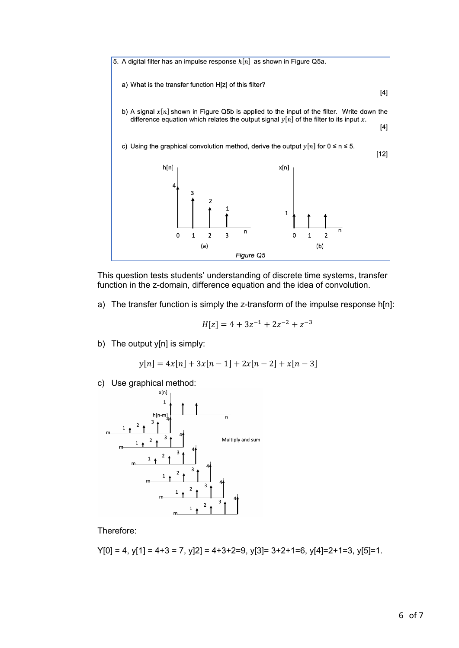

This question tests students' understanding of discrete time systems, transfer function in the z-domain, difference equation and the idea of convolution.

a) The transfer function is simply the z-transform of the impulse response h[n]:

$$
H[z] = 4 + 3z^{-1} + 2z^{-2} + z^{-3}
$$

b) The output y[n] is simply:

$$
y[n] = 4x[n] + 3x[n-1] + 2x[n-2] + x[n-3]
$$

c) Use graphical method:



Therefore:

 $Y[0] = 4$ ,  $y[1] = 4+3 = 7$ ,  $y[2] = 4+3+2=9$ ,  $y[3] = 3+2+1=6$ ,  $y[4] = 2+1=3$ ,  $y[5] = 1$ .